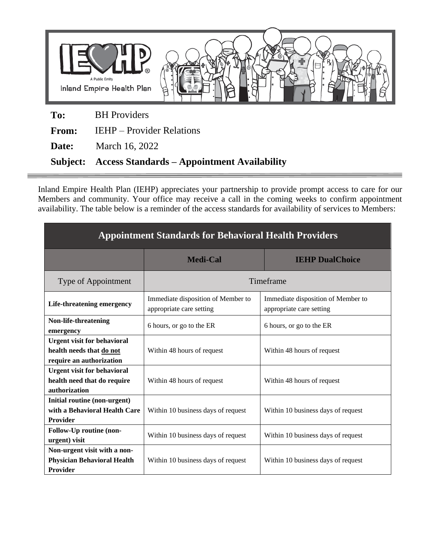

**Date:** March 16, 2022

**Subject: Access Standards – Appointment Availability**

Inland Empire Health Plan (IEHP) appreciates your partnership to provide prompt access to care for our Members and community. Your office may receive a call in the coming weeks to confirm appointment availability. The table below is a reminder of the access standards for availability of services to Members:

| <b>Appointment Standards for Behavioral Health Providers</b>                               |                                                                |                                                                |
|--------------------------------------------------------------------------------------------|----------------------------------------------------------------|----------------------------------------------------------------|
|                                                                                            | <b>Medi-Cal</b>                                                | <b>IEHP DualChoice</b>                                         |
| Type of Appointment                                                                        | Timeframe                                                      |                                                                |
| Life-threatening emergency                                                                 | Immediate disposition of Member to<br>appropriate care setting | Immediate disposition of Member to<br>appropriate care setting |
| Non-life-threatening<br>emergency                                                          | 6 hours, or go to the ER                                       | 6 hours, or go to the ER                                       |
| <b>Urgent visit for behavioral</b><br>health needs that do not<br>require an authorization | Within 48 hours of request                                     | Within 48 hours of request                                     |
| <b>Urgent visit for behavioral</b><br>health need that do require<br>authorization         | Within 48 hours of request                                     | Within 48 hours of request                                     |
| Initial routine (non-urgent)<br>with a Behavioral Health Care<br><b>Provider</b>           | Within 10 business days of request                             | Within 10 business days of request                             |
| Follow-Up routine (non-<br>urgent) visit                                                   | Within 10 business days of request                             | Within 10 business days of request                             |
| Non-urgent visit with a non-<br><b>Physician Behavioral Health</b><br><b>Provider</b>      | Within 10 business days of request                             | Within 10 business days of request                             |